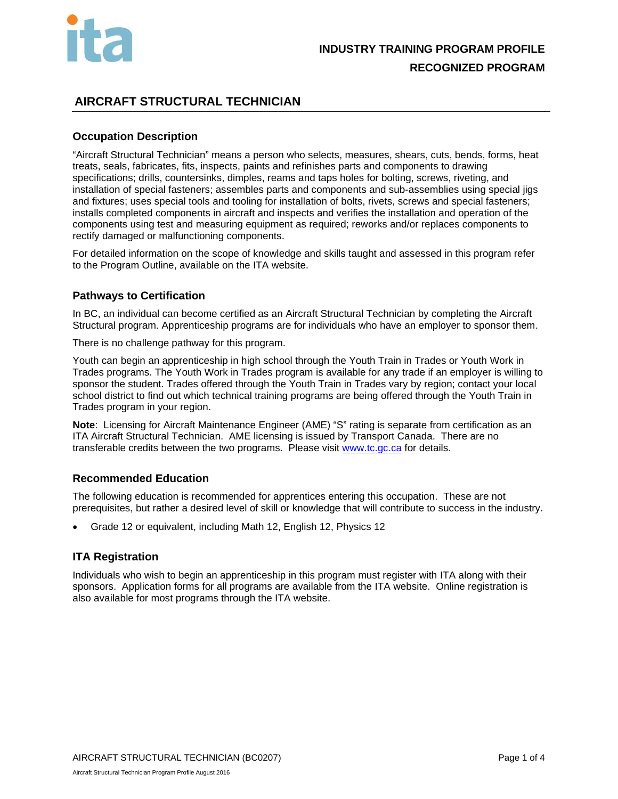

## **AIRCRAFT STRUCTURAL TECHNICIAN**

## **Occupation Description**

"Aircraft Structural Technician" means a person who selects, measures, shears, cuts, bends, forms, heat treats, seals, fabricates, fits, inspects, paints and refinishes parts and components to drawing specifications; drills, countersinks, dimples, reams and taps holes for bolting, screws, riveting, and installation of special fasteners; assembles parts and components and sub-assemblies using special jigs and fixtures; uses special tools and tooling for installation of bolts, rivets, screws and special fasteners; installs completed components in aircraft and inspects and verifies the installation and operation of the components using test and measuring equipment as required; reworks and/or replaces components to rectify damaged or malfunctioning components.

For detailed information on the scope of knowledge and skills taught and assessed in this program refer to the Program Outline, available on the ITA website.

## **Pathways to Certification**

In BC, an individual can become certified as an Aircraft Structural Technician by completing the Aircraft Structural program. Apprenticeship programs are for individuals who have an employer to sponsor them.

There is no challenge pathway for this program.

Youth can begin an apprenticeship in high school through the Youth Train in Trades or Youth Work in Trades programs. The Youth Work in Trades program is available for any trade if an employer is willing to sponsor the student. Trades offered through the Youth Train in Trades vary by region; contact your local school district to find out which technical training programs are being offered through the Youth Train in Trades program in your region.

**Note**: Licensing for Aircraft Maintenance Engineer (AME) "S" rating is separate from certification as an ITA Aircraft Structural Technician. AME licensing is issued by Transport Canada. There are no transferable credits between the two programs. Please visit [www.tc.gc.ca](http://www.tc.gc.ca/) for details.

## **Recommended Education**

The following education is recommended for apprentices entering this occupation. These are not prerequisites, but rather a desired level of skill or knowledge that will contribute to success in the industry.

• Grade 12 or equivalent, including Math 12, English 12, Physics 12

## **ITA Registration**

Individuals who wish to begin an apprenticeship in this program must register with ITA along with their sponsors. Application forms for all programs are available from the ITA website. Online registration is also available for most programs through the ITA website.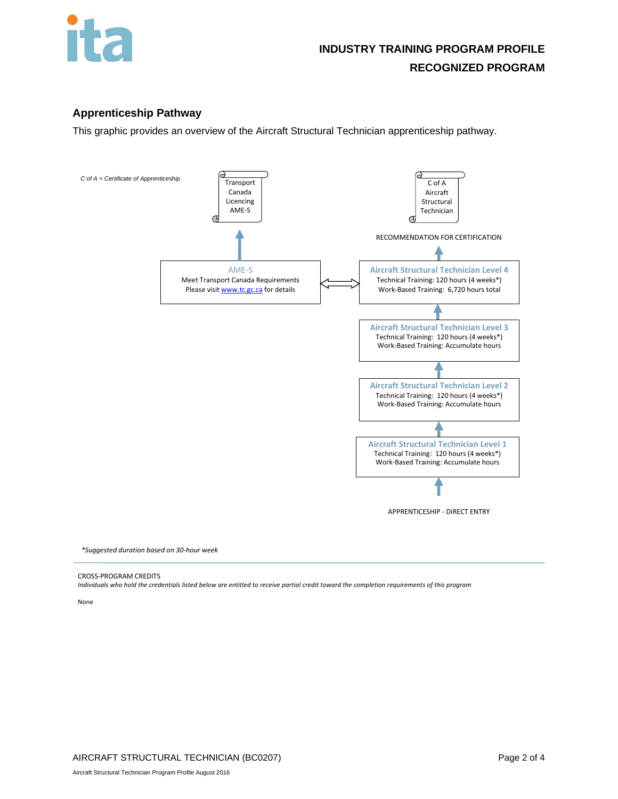

## **Apprenticeship Pathway**

This graphic provides an overview of the Aircraft Structural Technician apprenticeship pathway.



*\*Suggested duration based on 30-hour week*

#### CROSS-PROGRAM CREDITS

*Individuals who hold the credentials listed below are entitled to receive partial credit toward the completion requirements of this program*

None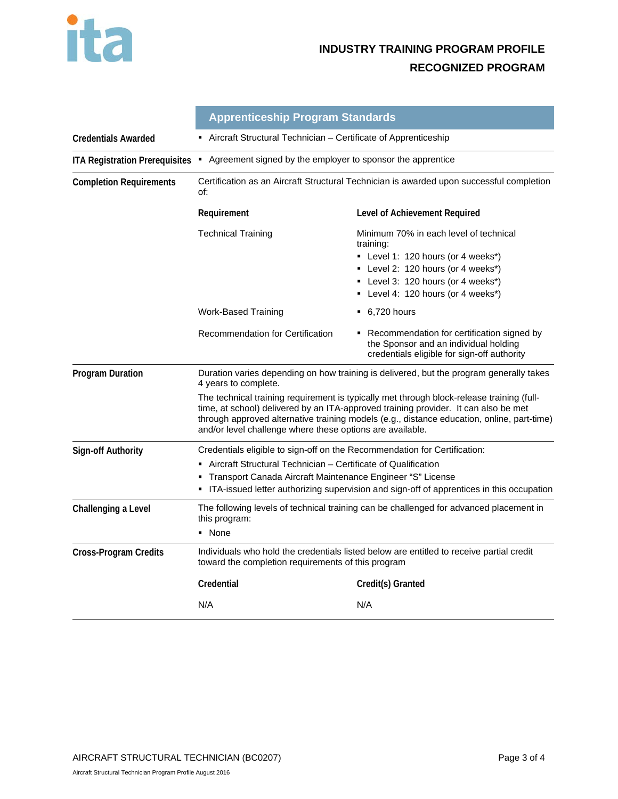

# **INDUSTRY TRAINING PROGRAM PROFILE RECOGNIZED PROGRAM**

|                                       | <b>Apprenticeship Program Standards</b>                                                                                                                                                                                                                                                                                                     |                                                                                                                                                                                                             |  |  |
|---------------------------------------|---------------------------------------------------------------------------------------------------------------------------------------------------------------------------------------------------------------------------------------------------------------------------------------------------------------------------------------------|-------------------------------------------------------------------------------------------------------------------------------------------------------------------------------------------------------------|--|--|
| <b>Credentials Awarded</b>            | Aircraft Structural Technician - Certificate of Apprenticeship                                                                                                                                                                                                                                                                              |                                                                                                                                                                                                             |  |  |
| <b>ITA Registration Prerequisites</b> | • Agreement signed by the employer to sponsor the apprentice                                                                                                                                                                                                                                                                                |                                                                                                                                                                                                             |  |  |
| <b>Completion Requirements</b>        | Certification as an Aircraft Structural Technician is awarded upon successful completion<br>of:                                                                                                                                                                                                                                             |                                                                                                                                                                                                             |  |  |
|                                       | Requirement                                                                                                                                                                                                                                                                                                                                 | Level of Achievement Required                                                                                                                                                                               |  |  |
|                                       | <b>Technical Training</b>                                                                                                                                                                                                                                                                                                                   | Minimum 70% in each level of technical<br>training:<br>■ Level 1: 120 hours (or 4 weeks*)<br>• Level 2: 120 hours (or 4 weeks*)<br>■ Level 3: 120 hours (or 4 weeks*)<br>• Level 4: 120 hours (or 4 weeks*) |  |  |
|                                       | <b>Work-Based Training</b>                                                                                                                                                                                                                                                                                                                  | $-6,720$ hours                                                                                                                                                                                              |  |  |
|                                       | <b>Recommendation for Certification</b>                                                                                                                                                                                                                                                                                                     | • Recommendation for certification signed by<br>the Sponsor and an individual holding<br>credentials eligible for sign-off authority                                                                        |  |  |
| <b>Program Duration</b>               | Duration varies depending on how training is delivered, but the program generally takes<br>4 years to complete.                                                                                                                                                                                                                             |                                                                                                                                                                                                             |  |  |
|                                       | The technical training requirement is typically met through block-release training (full-<br>time, at school) delivered by an ITA-approved training provider. It can also be met<br>through approved alternative training models (e.g., distance education, online, part-time)<br>and/or level challenge where these options are available. |                                                                                                                                                                                                             |  |  |
| <b>Sign-off Authority</b>             | Credentials eligible to sign-off on the Recommendation for Certification:                                                                                                                                                                                                                                                                   |                                                                                                                                                                                                             |  |  |
|                                       | Aircraft Structural Technician – Certificate of Qualification<br>Transport Canada Aircraft Maintenance Engineer "S" License<br>• ITA-issued letter authorizing supervision and sign-off of apprentices in this occupation                                                                                                                   |                                                                                                                                                                                                             |  |  |
| Challenging a Level                   | The following levels of technical training can be challenged for advanced placement in<br>this program:<br>• None                                                                                                                                                                                                                           |                                                                                                                                                                                                             |  |  |
| Cross-Program Credits                 | Individuals who hold the credentials listed below are entitled to receive partial credit<br>toward the completion requirements of this program                                                                                                                                                                                              |                                                                                                                                                                                                             |  |  |
|                                       | Credential                                                                                                                                                                                                                                                                                                                                  | Credit(s) Granted                                                                                                                                                                                           |  |  |
|                                       | N/A                                                                                                                                                                                                                                                                                                                                         | N/A                                                                                                                                                                                                         |  |  |